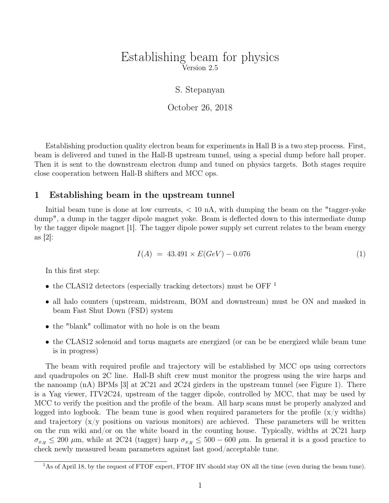## Establishing beam for physics Version 2.5

S. Stepanyan

October 26, 2018

Establishing production quality electron beam for experiments in Hall B is a two step process. First, beam is delivered and tuned in the Hall-B upstream tunnel, using a special dump before hall proper. Then it is sent to the downstream electron dump and tuned on physics targets. Both stages require close cooperation between Hall-B shifters and MCC ops.

## 1 Establishing beam in the upstream tunnel

Initial beam tune is done at low currents,  $< 10$  nA, with dumping the beam on the "tagger-yoke" dump", a dump in the tagger dipole magnet yoke. Beam is deflected down to this intermediate dump by the tagger dipole magnet [1]. The tagger dipole power supply set current relates to the beam energy as  $|2|$ :

$$
I(A) = 43.491 \times E(GeV) - 0.076 \tag{1}
$$

In this first step:

- the CLAS12 detectors (especially tracking detectors) must be OFF<sup>1</sup>
- all halo counters (upstream, midstream, BOM and downstream) must be ON and masked in beam Fast Shut Down (FSD) system
- the "blank" collimator with no hole is on the beam
- the CLAS12 solenoid and torus magnets are energized (or can be be energized while beam tune is in progress)

The beam with required profile and trajectory will be established by MCC ops using correctors and quadrupoles on 2C line. Hall-B shift crew must monitor the progress using the wire harps and the nanoamp (nA) BPMs [3] at 2C21 and 2C24 girders in the upstream tunnel (see Figure 1). There is a Yag viewer, ITV2C24, upstream of the tagger dipole, controlled by MCC, that may be used by MCC to verify the position and the profile of the beam. All harp scans must be properly analyzed and logged into logbook. The beam tune is good when required parameters for the profile  $(x/y)$  widths) and trajectory  $(x/y)$  positions on various monitors) are achieved. These parameters will be written on the run wiki and/or on the white board in the counting house. Typically, widths at 2C21 harp  $\sigma_{x,y} \leq 200 \mu$ m, while at 2C24 (tagger) harp  $\sigma_{x,y} \leq 500 - 600 \mu$ m. In general it is a good practice to check newly measured beam parameters against last good/acceptable tune.

<sup>&</sup>lt;sup>1</sup>As of April 18, by the request of FTOF expert, FTOF HV should stay ON all the time (even during the beam tune).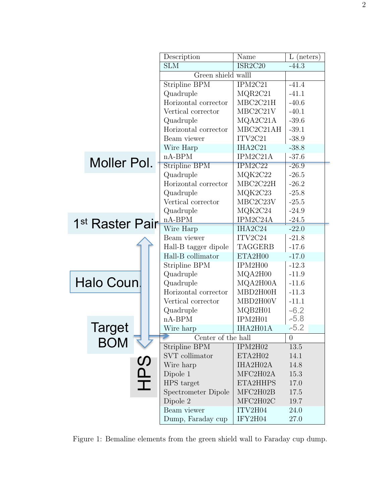|                             |               |                | Description          | Name           | $L$ (neters) |
|-----------------------------|---------------|----------------|----------------------|----------------|--------------|
|                             |               |                | <b>SLM</b>           | ISR2C20        | $-44.3$      |
|                             |               |                | Green shield walll   |                |              |
|                             |               |                | Stripline BPM        | IPM2C21        | $-41.4$      |
|                             |               |                | Quadruple            | MQR2C21        | $-41.1$      |
|                             |               |                | Horizontal corrector | MBC2C21H       | $-40.6$      |
|                             |               |                | Vertical corrector   | MBC2C21V       | $-40.1$      |
|                             |               |                | Quadruple            | MQA2C21A       | $-39.6$      |
|                             |               |                | Horizontal corrector | MBC2C21AH      | $-39.1$      |
|                             |               |                | Beam viewer          | ITV2C21        | $-38.9$      |
|                             |               |                | Wire Harp            | IHA2C21        | $-38.8$      |
|                             |               |                | $nA-BPM$             | IPM2C21A       | $-37.6$      |
|                             | Moller Pol.   |                | <b>Stripline BPM</b> | IPM2C22        | $-26.9$      |
|                             |               |                | Quadruple            | MQK2C22        | $-26.5$      |
|                             |               |                | Horizontal corrector | MBC2C22H       | $-26.2$      |
|                             |               |                | Quadruple            | MQK2C23        | $-25.8$      |
|                             |               |                | Vertical corrector   | MBC2C23V       | $-25.5$      |
|                             |               |                | Quadruple            | MQK2C24        | $-24.9$      |
| 1 <sup>st</sup> Raster Pair |               |                | $nA-BPM$             | IPM2C24A       | $-24.5$      |
|                             |               |                | Wire Harp            | IHA2C24        | $-22.0$      |
|                             |               |                | Beam viewer          | ITV2C24        | $-21.8$      |
|                             |               |                | Hall-B tagger dipole | <b>TAGGERB</b> | $-17.6$      |
|                             |               |                | Hall-B collimator    | ETA2H00        | $-17.0$      |
|                             |               |                | Stripline BPM        | IPM2H00        | $-12.3$      |
| Halo Coun.                  |               |                | Quadruple            | MQA2H00        | $-11.9$      |
|                             |               |                | Quadruple            | MQA2H00A       | $-11.6$      |
|                             |               |                | Horizontal corrector | MBD2H00H       | $-11.3$      |
|                             |               |                | Vertical corrector   | MBD2H00V       | $-11.1$      |
|                             |               |                | Quadruple            | MQB2H01        | $-6.2$       |
|                             |               |                | $nA-BPM$             | IPM2H01        | $-5.8$       |
|                             | <b>Target</b> |                | Wire harp            | IHA2H01A       | $-5.2$       |
|                             | <b>BOM</b>    |                | Center of the hall   | $\overline{0}$ |              |
|                             |               |                | Stripline BPM        | IPM2H02        | 13.5         |
|                             |               |                | SVT collimator       | ETA2H02        | 14.1         |
|                             |               | <u>()</u><br>႐ | Wire harp            | IHA2H02A       | 14.8         |
|                             |               |                | Dipole 1             | MFC2H02A       | 15.3         |
|                             |               | 工              | HPS target           | ETA2HHPS       | 17.0         |
|                             |               |                | Spectrometer Dipole  | MFC2H02B       | 17.5         |
|                             |               |                | Dipole 2             | MFC2H02C       | 19.7         |
|                             |               |                | Beam viewer          | ITV2H04        | 24.0         |
|                             |               |                | Dump, Faraday cup    | IFY2H04        | 27.0         |

Figure 1: Bemaline elements from the green shield wall to Faraday cup dump.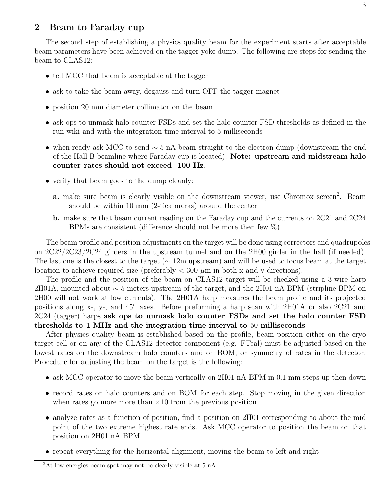## 2 Beam to Faraday cup

The second step of establishing a physics quality beam for the experiment starts after acceptable beam parameters have been achieved on the tagger-yoke dump. The following are steps for sending the beam to CLAS12:

- tell MCC that beam is acceptable at the tagger
- ask to take the beam away, degauss and turn OFF the tagger magnet
- position 20 mm diameter collimator on the beam
- ask ops to unmask halo counter FSDs and set the halo counter FSD thresholds as defined in the run wiki and with the integration time interval to 5 milliseconds
- when ready ask MCC to send ∼ 5 nA beam straight to the electron dump (downstream the end of the Hall B beamline where Faraday cup is located). Note: upstream and midstream halo counter rates should not exceed 100 Hz.
- verify that beam goes to the dump cleanly:
	- a. make sure beam is clearly visible on the downstream viewer, use Chromox screen<sup>2</sup>. Beam should be within 10 mm (2-tick marks) around the center
	- b. make sure that beam current reading on the Faraday cup and the currents on 2C21 and 2C24 BPMs are consistent (difference should not be more then few %)

The beam profile and position adjustments on the target will be done using correctors and quadrupoles on 2C22/2C23/2C24 girders in the upstream tunnel and on the 2H00 girder in the hall (if needed). The last one is the closest to the target ( $\sim 12$ m upstream) and will be used to focus beam at the target location to achieve required size (preferably  $< 300 \mu m$  in both x and y directions).

The profile and the position of the beam on CLAS12 target will be checked using a 3-wire harp 2H01A, mounted about ∼ 5 meters upstream of the target, and the 2H01 nA BPM (stripline BPM on 2H00 will not work at low currents). The 2H01A harp measures the beam profile and its projected positions along x-, y-, and  $45°$  axes. Before preforming a harp scan with 2H01A or also 2C21 and 2C24 (tagger) harps ask ops to unmask halo counter FSDs and set the halo counter FSD thresholds to 1 MHz and the integration time interval to 50 milliseconds

After physics quality beam is established based on the profile, beam position either on the cryo target cell or on any of the CLAS12 detector component (e.g. FTcal) must be adjusted based on the lowest rates on the downstream halo counters and on BOM, or symmetry of rates in the detector. Procedure for adjusting the beam on the target is the following:

- ask MCC operator to move the beam vertically on 2H01 nA BPM in 0.1 mm steps up then down
- record rates on halo counters and on BOM for each step. Stop moving in the given direction when rates go more more than  $\times 10$  from the previous position
- analyze rates as a function of position, find a position on 2H01 corresponding to about the mid point of the two extreme highest rate ends. Ask MCC operator to position the beam on that position on 2H01 nA BPM
- repeat everything for the horizontal alignment, moving the beam to left and right

<sup>&</sup>lt;sup>2</sup>At low energies beam spot may not be clearly visible at 5 nA